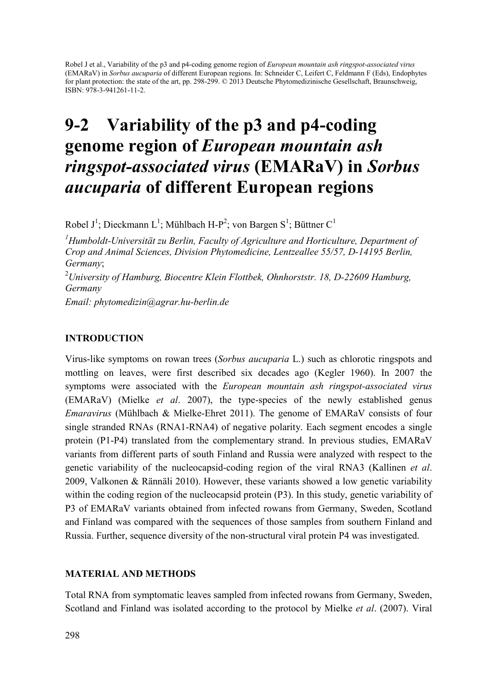Robel J et al., Variability of the p3 and p4-coding genome region of *European mountain ash ringspot-associated virus* (EMARaV) in *Sorbus aucuparia* of different European regions. In: Schneider C, Leifert C, Feldmann F (Eds), Endophytes for plant protection: the state of the art, pp. 298-299. © 2013 Deutsche Phytomedizinische Gesellschaft, Braunschweig, ISBN: 978-3-941261-11-2.

# 9-2 Variability of the p3 and p4-coding genome region of European mountain ash ringspot-associated virus (EMARaV) in Sorbus aucuparia of different European regions

Robel J<sup>1</sup>; Dieckmann L<sup>1</sup>; Mühlbach H-P<sup>2</sup>; von Bargen S<sup>1</sup>; Büttner C<sup>1</sup>

*1 Humboldt-Universität zu Berlin, Faculty of Agriculture and Horticulture, Department of Crop and Animal Sciences, Division Phytomedicine, Lentzeallee 55/57, D-14195 Berlin, Germany*; 2 *University of Hamburg, Biocentre Klein Flottbek, Ohnhorststr. 18, D-22609 Hamburg, Germany*

*Email: phytomedizin@agrar.hu-berlin.de* 

## INTRODUCTION

Virus-like symptoms on rowan trees (*Sorbus aucuparia* L.) such as chlorotic ringspots and mottling on leaves, were first described six decades ago (Kegler 1960). In 2007 the symptoms were associated with the *European mountain ash ringspot-associated virus* (EMARaV) (Mielke *et al*. 2007), the type-species of the newly established genus *Emaravirus* (Mühlbach & Mielke-Ehret 2011). The genome of EMARaV consists of four single stranded RNAs (RNA1-RNA4) of negative polarity. Each segment encodes a single protein (P1-P4) translated from the complementary strand. In previous studies, EMARaV variants from different parts of south Finland and Russia were analyzed with respect to the genetic variability of the nucleocapsid-coding region of the viral RNA3 (Kallinen *et al*. 2009, Valkonen & Rännäli 2010). However, these variants showed a low genetic variability within the coding region of the nucleocapsid protein (P3). In this study, genetic variability of P3 of EMARaV variants obtained from infected rowans from Germany, Sweden, Scotland and Finland was compared with the sequences of those samples from southern Finland and Russia. Further, sequence diversity of the non-structural viral protein P4 was investigated.

## MATERIAL AND METHODS

Total RNA from symptomatic leaves sampled from infected rowans from Germany, Sweden, Scotland and Finland was isolated according to the protocol by Mielke *et al*. (2007). Viral